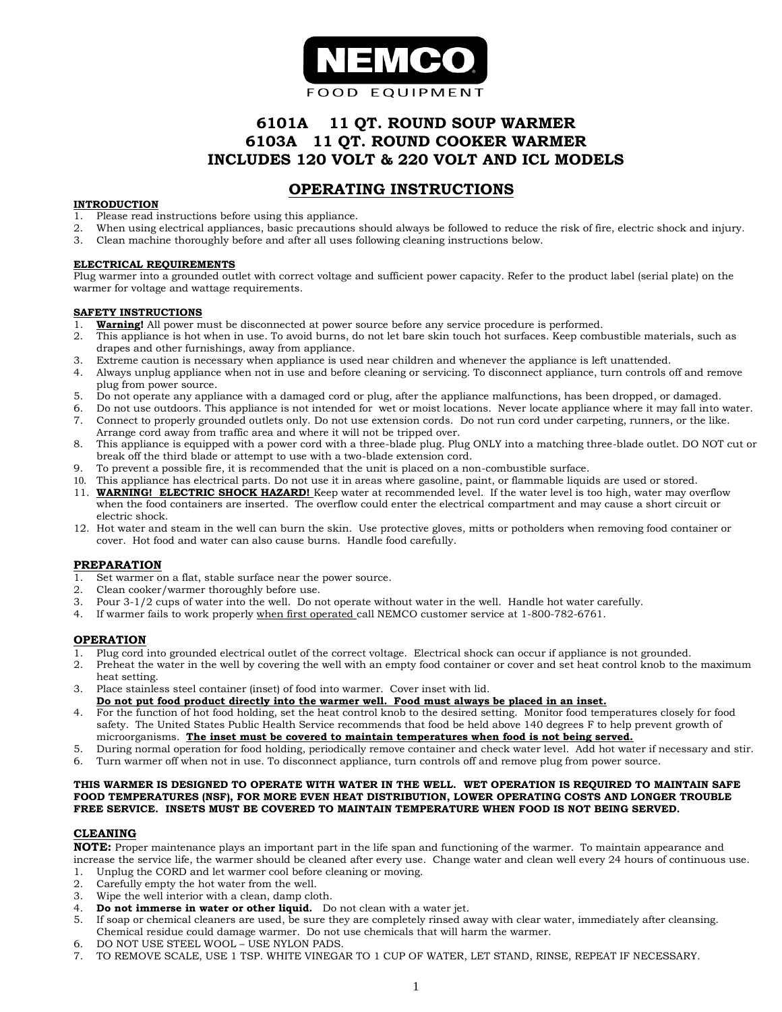

# **6101A 11 QT. ROUND SOUP WARMER 6103A 11 QT. ROUND COOKER WARMER INCLUDES 120 VOLT & 220 VOLT AND ICL MODELS**

# **OPERATING INSTRUCTIONS**

### **INTRODUCTION**

- 1. Please read instructions before using this appliance.
- 2. When using electrical appliances, basic precautions should always be followed to reduce the risk of fire, electric shock and injury.
- 3. Clean machine thoroughly before and after all uses following cleaning instructions below.

### **ELECTRICAL REQUIREMENTS**

Plug warmer into a grounded outlet with correct voltage and sufficient power capacity. Refer to the product label (serial plate) on the warmer for voltage and wattage requirements.

#### **SAFETY INSTRUCTIONS**

- 1. **Warning!** All power must be disconnected at power source before any service procedure is performed.
- 2. This appliance is hot when in use. To avoid burns, do not let bare skin touch hot surfaces. Keep combustible materials, such as drapes and other furnishings, away from appliance.
- 3. Extreme caution is necessary when appliance is used near children and whenever the appliance is left unattended.
- 4. Always unplug appliance when not in use and before cleaning or servicing. To disconnect appliance, turn controls off and remove plug from power source.
- 5. Do not operate any appliance with a damaged cord or plug, after the appliance malfunctions, has been dropped, or damaged.
- 6. Do not use outdoors. This appliance is not intended for wet or moist locations. Never locate appliance where it may fall into water.
- 7. Connect to properly grounded outlets only. Do not use extension cords. Do not run cord under carpeting, runners, or the like. Arrange cord away from traffic area and where it will not be tripped over.
- 8. This appliance is equipped with a power cord with a three-blade plug. Plug ONLY into a matching three-blade outlet. DO NOT cut or break off the third blade or attempt to use with a two-blade extension cord.
- 9. To prevent a possible fire, it is recommended that the unit is placed on a non-combustible surface.
- 10. This appliance has electrical parts. Do not use it in areas where gasoline, paint, or flammable liquids are used or stored.
- 11. **WARNING! ELECTRIC SHOCK HAZARD!** Keep water at recommended level. If the water level is too high, water may overflow when the food containers are inserted. The overflow could enter the electrical compartment and may cause a short circuit or electric shock.
- 12. Hot water and steam in the well can burn the skin. Use protective gloves, mitts or potholders when removing food container or cover. Hot food and water can also cause burns. Handle food carefully.

# **PREPARATION**

- 1. Set warmer on a flat, stable surface near the power source.
- 2. Clean cooker/warmer thoroughly before use.
- 3. Pour 3-1/2 cups of water into the well. Do not operate without water in the well. Handle hot water carefully.
- 4. If warmer fails to work properly when first operated call NEMCO customer service at 1-800-782-6761.

#### **OPERATION**

- 1. Plug cord into grounded electrical outlet of the correct voltage. Electrical shock can occur if appliance is not grounded.
- 2. Preheat the water in the well by covering the well with an empty food container or cover and set heat control knob to the maximum heat setting.
- 3. Place stainless steel container (inset) of food into warmer. Cover inset with lid.
- **Do not put food product directly into the warmer well. Food must always be placed in an inset.**
- 4. For the function of hot food holding, set the heat control knob to the desired setting. Monitor food temperatures closely for food safety. The United States Public Health Service recommends that food be held above 140 degrees F to help prevent growth of microorganisms. **The inset must be covered to maintain temperatures when food is not being served.**
- 5. During normal operation for food holding, periodically remove container and check water level. Add hot water if necessary and stir. 6. Turn warmer off when not in use. To disconnect appliance, turn controls off and remove plug from power source.
- 

#### **THIS WARMER IS DESIGNED TO OPERATE WITH WATER IN THE WELL. WET OPERATION IS REQUIRED TO MAINTAIN SAFE FOOD TEMPERATURES (NSF), FOR MORE EVEN HEAT DISTRIBUTION, LOWER OPERATING COSTS AND LONGER TROUBLE FREE SERVICE. INSETS MUST BE COVERED TO MAINTAIN TEMPERATURE WHEN FOOD IS NOT BEING SERVED.**

# **CLEANING**

**NOTE:** Proper maintenance plays an important part in the life span and functioning of the warmer. To maintain appearance and increase the service life, the warmer should be cleaned after every use. Change water and clean well every 24 hours of continuous use.

- 1. Unplug the CORD and let warmer cool before cleaning or moving.
- 2. Carefully empty the hot water from the well.
- 3. Wipe the well interior with a clean, damp cloth.
- 4. **Do not immerse in water or other liquid.** Do not clean with a water jet.
- 5. If soap or chemical cleaners are used, be sure they are completely rinsed away with clear water, immediately after cleansing. Chemical residue could damage warmer. Do not use chemicals that will harm the warmer.
- 6. DO NOT USE STEEL WOOL USE NYLON PADS.
- 7. TO REMOVE SCALE, USE 1 TSP. WHITE VINEGAR TO 1 CUP OF WATER, LET STAND, RINSE, REPEAT IF NECESSARY.